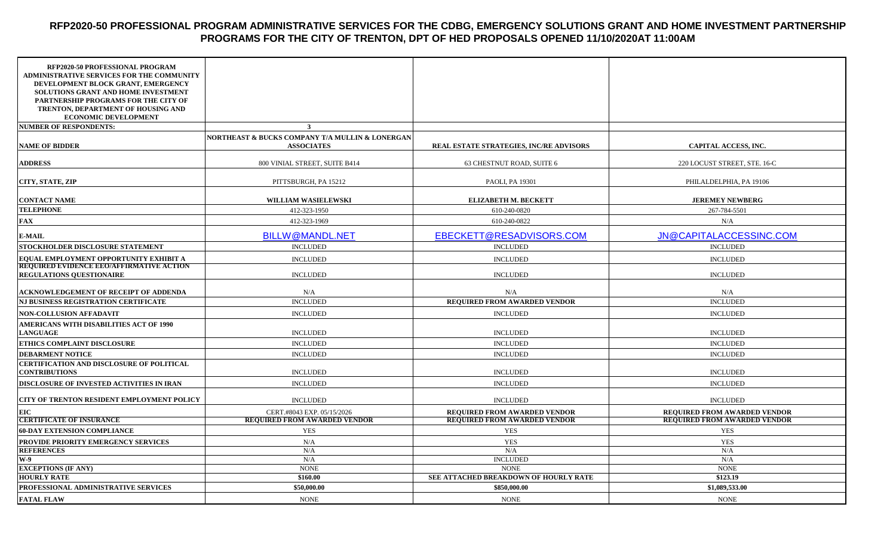## **RFP2020-50 PROFESSIONAL PROGRAM ADMINISTRATIVE SERVICES FOR THE CDBG, EMERGENCY SOLUTIONS GRANT AND HOME INVESTMENT PARTNERSHIP PROGRAMS FOR THE CITY OF TRENTON, DPT OF HED PROPOSALS OPENED 11/10/2020AT 11:00AM**

| RFP2020-50 PROFESSIONAL PROGRAM<br><b>ADMINISTRATIVE SERVICES FOR THE COMMUNITY</b><br>DEVELOPMENT BLOCK GRANT, EMERGENCY<br>SOLUTIONS GRANT AND HOME INVESTMENT<br>PARTNERSHIP PROGRAMS FOR THE CITY OF<br>TRENTON, DEPARTMENT OF HOUSING AND<br><b>ECONOMIC DEVELOPMENT</b> |                                                                      |                                         |                                     |
|-------------------------------------------------------------------------------------------------------------------------------------------------------------------------------------------------------------------------------------------------------------------------------|----------------------------------------------------------------------|-----------------------------------------|-------------------------------------|
| <b>NUMBER OF RESPONDENTS:</b>                                                                                                                                                                                                                                                 | 3                                                                    |                                         |                                     |
| <b>NAME OF BIDDER</b>                                                                                                                                                                                                                                                         | NORTHEAST & BUCKS COMPANY T/A MULLIN & LONERGAN<br><b>ASSOCIATES</b> | REAL ESTATE STRATEGIES, INC/RE ADVISORS | CAPITAL ACCESS, INC.                |
| <b>ADDRESS</b>                                                                                                                                                                                                                                                                | 800 VINIAL STREET, SUITE B414                                        | 63 CHESTNUT ROAD, SUITE 6               | 220 LOCUST STREET, STE. 16-C        |
| <b>CITY, STATE, ZIP</b>                                                                                                                                                                                                                                                       | PITTSBURGH, PA 15212                                                 | PAOLI, PA 19301                         | PHILALDELPHIA, PA 19106             |
| <b>CONTACT NAME</b>                                                                                                                                                                                                                                                           | WILLIAM WASIELEWSKI                                                  | <b>ELIZABETH M. BECKETT</b>             | <b>JEREMEY NEWBERG</b>              |
| <b>TELEPHONE</b>                                                                                                                                                                                                                                                              | 412-323-1950                                                         | 610-240-0820                            | 267-784-5501                        |
| <b>FAX</b>                                                                                                                                                                                                                                                                    | 412-323-1969                                                         | 610-240-0822                            | N/A                                 |
| <b>E-MAIL</b>                                                                                                                                                                                                                                                                 | <b>BILLW@MANDL.NET</b>                                               | EBECKETT@RESADVISORS.COM                | JN@CAPITALACCESSINC.COM             |
| STOCKHOLDER DISCLOSURE STATEMENT                                                                                                                                                                                                                                              | <b>INCLUDED</b>                                                      | <b>INCLUDED</b>                         | <b>INCLUDED</b>                     |
| EQUAL EMPLOYMENT OPPORTUNITY EXHIBIT A                                                                                                                                                                                                                                        | <b>INCLUDED</b>                                                      | <b>INCLUDED</b>                         | <b>INCLUDED</b>                     |
| <b>REQUIRED EVIDENCE EEO/AFFIRMATIVE ACTION</b><br><b>REGULATIONS QUESTIONAIRE</b>                                                                                                                                                                                            | <b>INCLUDED</b>                                                      | <b>INCLUDED</b>                         | <b>INCLUDED</b>                     |
| <b>ACKNOWLEDGEMENT OF RECEIPT OF ADDENDA</b>                                                                                                                                                                                                                                  | N/A                                                                  | N/A                                     | N/A                                 |
| NJ BUSINESS REGISTRATION CERTIFICATE                                                                                                                                                                                                                                          | <b>INCLUDED</b>                                                      | REQUIRED FROM AWARDED VENDOR            | <b>INCLUDED</b>                     |
| <b>NON-COLLUSION AFFADAVIT</b>                                                                                                                                                                                                                                                | <b>INCLUDED</b>                                                      | <b>INCLUDED</b>                         | <b>INCLUDED</b>                     |
| AMERICANS WITH DISABILITIES ACT OF 1990<br><b>LANGUAGE</b>                                                                                                                                                                                                                    | <b>INCLUDED</b>                                                      | <b>INCLUDED</b>                         | <b>INCLUDED</b>                     |
| ETHICS COMPLAINT DISCLOSURE                                                                                                                                                                                                                                                   | <b>INCLUDED</b>                                                      | <b>INCLUDED</b>                         | <b>INCLUDED</b>                     |
| <b>DEBARMENT NOTICE</b>                                                                                                                                                                                                                                                       | <b>INCLUDED</b>                                                      | <b>INCLUDED</b>                         | <b>INCLUDED</b>                     |
| CERTIFICATION AND DISCLOSURE OF POLITICAL<br><b>CONTRIBUTIONS</b>                                                                                                                                                                                                             | <b>INCLUDED</b>                                                      | <b>INCLUDED</b>                         | <b>INCLUDED</b>                     |
| DISCLOSURE OF INVESTED ACTIVITIES IN IRAN                                                                                                                                                                                                                                     | <b>INCLUDED</b>                                                      | <b>INCLUDED</b>                         | <b>INCLUDED</b>                     |
| CITY OF TRENTON RESIDENT EMPLOYMENT POLICY                                                                                                                                                                                                                                    | <b>INCLUDED</b>                                                      | <b>INCLUDED</b>                         | <b>INCLUDED</b>                     |
| <b>EIC</b>                                                                                                                                                                                                                                                                    | CERT.#8043 EXP. 05/15/2026                                           | REQUIRED FROM AWARDED VENDOR            | REQUIRED FROM AWARDED VENDOR        |
| <b>CERTIFICATE OF INSURANCE</b>                                                                                                                                                                                                                                               | <b>REQUIRED FROM AWARDED VENDOR</b>                                  | <b>REQUIRED FROM AWARDED VENDOR</b>     | <b>REQUIRED FROM AWARDED VENDOR</b> |
| <b>60-DAY EXTENSION COMPLIANCE</b>                                                                                                                                                                                                                                            | <b>YES</b>                                                           | <b>YES</b>                              | <b>YES</b>                          |
| PROVIDE PRIORITY EMERGENCY SERVICES                                                                                                                                                                                                                                           | N/A                                                                  | <b>YES</b>                              | <b>YES</b>                          |
| <b>REFERENCES</b><br>$W-9$                                                                                                                                                                                                                                                    | N/A<br>N/A                                                           | N/A<br><b>INCLUDED</b>                  | N/A<br>N/A                          |
| <b>EXCEPTIONS (IF ANY)</b>                                                                                                                                                                                                                                                    | <b>NONE</b>                                                          | <b>NONE</b>                             | <b>NONE</b>                         |
| <b>HOURLY RATE</b>                                                                                                                                                                                                                                                            | \$160.00                                                             | SEE ATTACHED BREAKDOWN OF HOURLY RATE   | \$123.19                            |
| PROFESSIONAL ADMINISTRATIVE SERVICES                                                                                                                                                                                                                                          | \$50,000.00                                                          | \$850,000.00                            | \$1,089,533.00                      |
| <b>FATAL FLAW</b>                                                                                                                                                                                                                                                             | <b>NONE</b>                                                          | <b>NONE</b>                             | <b>NONE</b>                         |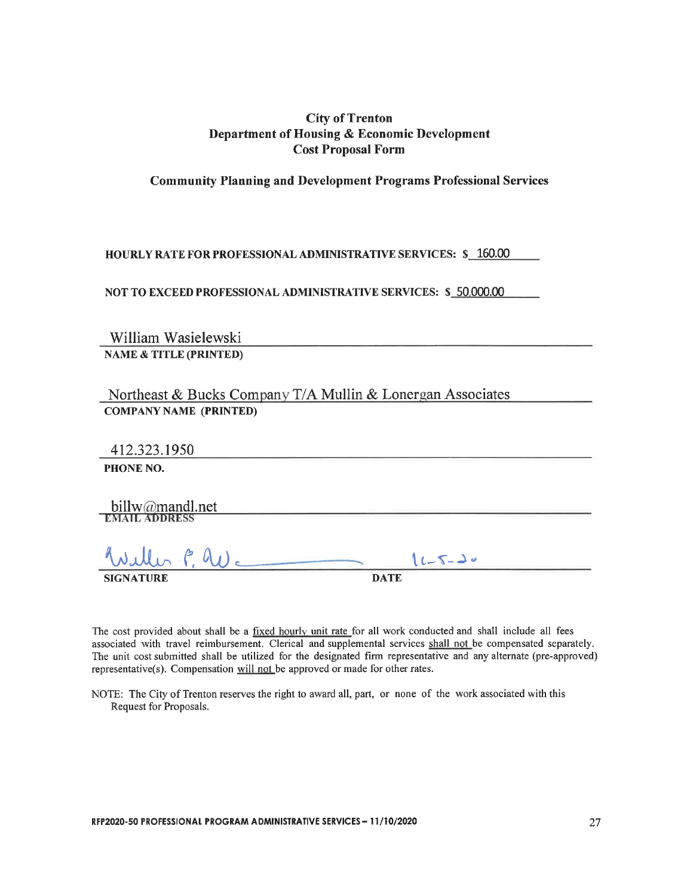## **City of Trenton** Department of Housing & Economic Development **Cost Proposal Form**

**Community Planning and Development Programs Professional Services** 

**HOURLY RATE FOR PROFESSIONAL ADMINISTRATIVE SERVICES: \$ 160.00** 

NOT TO EXCEED PROFESSIONAL ADMINISTRATIVE SERVICES: \$ 50,000.00

William Wasielewski **NAME & TITLE (PRINTED)** 

Northeast & Bucks Company T/A Mullin & Lonergan Associates **COMPANY NAME (PRINTED)** 

412.323.1950

PHONE NO.

billw@mandl.net

 $\Rightarrow$  $11 - 5 - 70$ **DATE** 

The cost provided about shall be a fixed hourly unit rate for all work conducted and shall include all fees associated with travel reimbursement. Clerical and supplemental services shall not be compensated separately. The unit cost submitted shall be utilized for the designated firm representative and any alternate (pre-approved) representative(s). Compensation will not be approved or made for other rates.

NOTE: The City of Trenton reserves the right to award all, part, or none of the work associated with this Request for Proposals.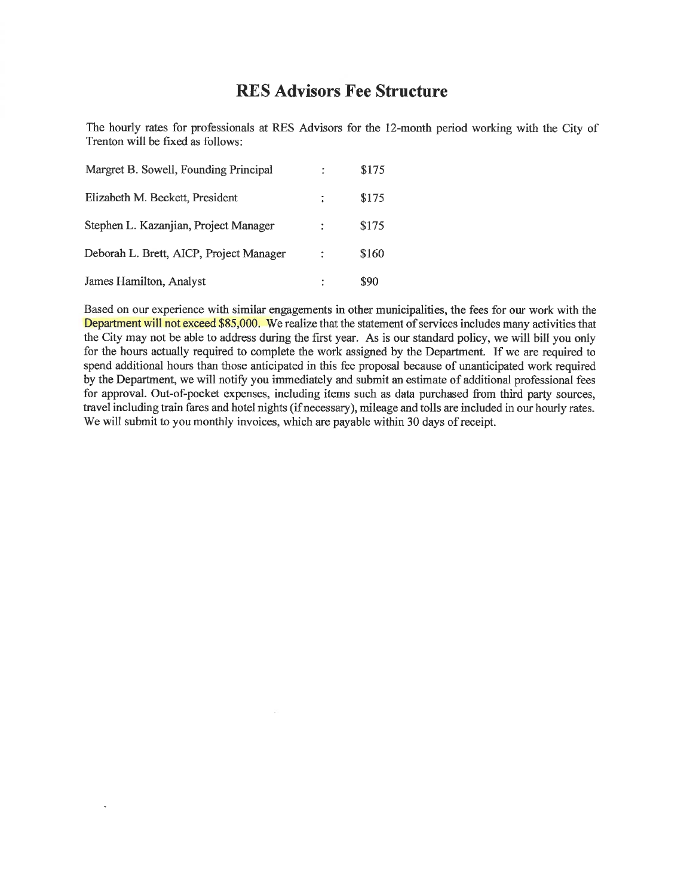## **RES Advisors Fee Structure**

The hourly rates for professionals at RES Advisors for the 12-month period working with the City of Trenton will be fixed as follows:

| Margret B. Sowell, Founding Principal   |    | \$175 |
|-----------------------------------------|----|-------|
| Elizabeth M. Beckett, President         | ÷. | \$175 |
| Stephen L. Kazanjian, Project Manager   |    | \$175 |
| Deborah L. Brett, AICP, Project Manager |    | \$160 |
| James Hamilton, Analyst                 |    | \$90  |

 $\overline{a}$ 

Based on our experience with similar engagements in other municipalities, the fees for our work with the Department will not exceed \$85,000. We realize that the statement of services includes many activities that the City may not be able to address during the first year. As is our standard policy, we will bill you only for the hours actually required to complete the work assigned by the Department. If we are required to spend additional hours than those anticipated in this fee proposal because of unanticipated work required by the Department, we will notify you immediately and submit an estimate of additional professional fees for approval. Out-of-pocket expenses, including items such as data purchased from third party sources, travel including train fares and hotel nights (if necessary), mileage and tolls are included in our hourly rates. We will submit to you monthly invoices, which are payable within 30 days of receipt.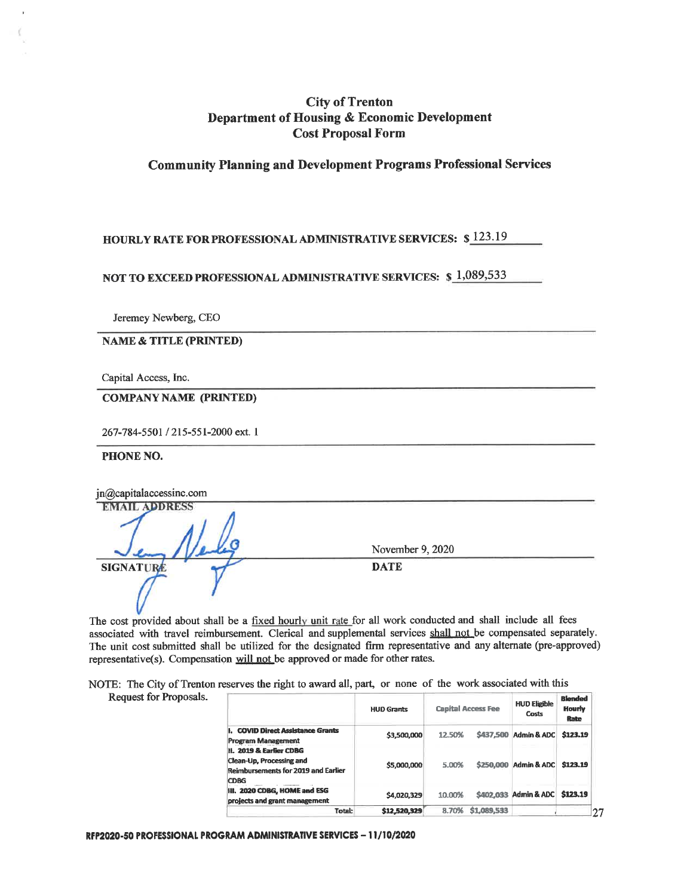## **City of Trenton** Department of Housing & Economic Development **Cost Proposal Form**

### **Community Planning and Development Programs Professional Services**

## **HOURLY RATE FOR PROFESSIONAL ADMINISTRATIVE SERVICES: \$123.19**

NOT TO EXCEED PROFESSIONAL ADMINISTRATIVE SERVICES: \$1,089,533

Jeremey Newberg, CEO

**NAME & TITLE (PRINTED)** 

Capital Access, Inc.

**COMPANY NAME (PRINTED)** 

267-784-5501 / 215-551-2000 ext. 1

PHONE NO.

| jn@capitalaccessinc.com |                  |  |
|-------------------------|------------------|--|
| <b>EMAIL ADDRESS</b>    |                  |  |
|                         |                  |  |
|                         | November 9, 2020 |  |
| SIGNATURE               | <b>DATE</b>      |  |
|                         |                  |  |
|                         |                  |  |

The cost provided about shall be a fixed hourly unit rate for all work conducted and shall include all fees associated with travel reimbursement. Clerical and supplemental services shall not be compensated separately. The unit cost submitted shall be utilized for the designated firm representative and any alternate (pre-approved) representative(s). Compensation will not be approved or made for other rates.

NOTE: The City of Trenton reserves the right to award all, part, or none of the work associated with this

|  |  | Request for Proposals. |  |
|--|--|------------------------|--|
|--|--|------------------------|--|

|                                                                                                           | <b>HUD Grants</b> |        | <b>Capital Access Fee</b> | <b>HUD Eligible</b><br>Costs   | <b>Blended</b><br>Hourly<br>Rate |    |
|-----------------------------------------------------------------------------------------------------------|-------------------|--------|---------------------------|--------------------------------|----------------------------------|----|
| . COVID Direct Assistance Grants<br>Program Management                                                    | \$3,500,000       | 12.50% |                           | \$437,500 Admin & ADC          | \$123.19                         |    |
| II. 2019 & Earlier CDBG<br>Clean-Up. Processing and<br><b>Reimbursements for 2019 and Earlier</b><br>CDBG | \$5,000,000       | 5.00%  |                           | \$250,000 Admin & ADC          | \$123.19                         |    |
| II. 2020 CDBG, HOME and ESG<br>projects and grant management                                              | \$4.020.329       | 10.00% |                           | \$402.033 Admin & ADC \$123.19 |                                  |    |
| Total:                                                                                                    | \$12,520,329      | 8.70%  | \$1,089,533               |                                |                                  | 27 |

RFP2020-50 PROFESSIONAL PROGRAM ADMINISTRATIVE SERVICES - 11/10/2020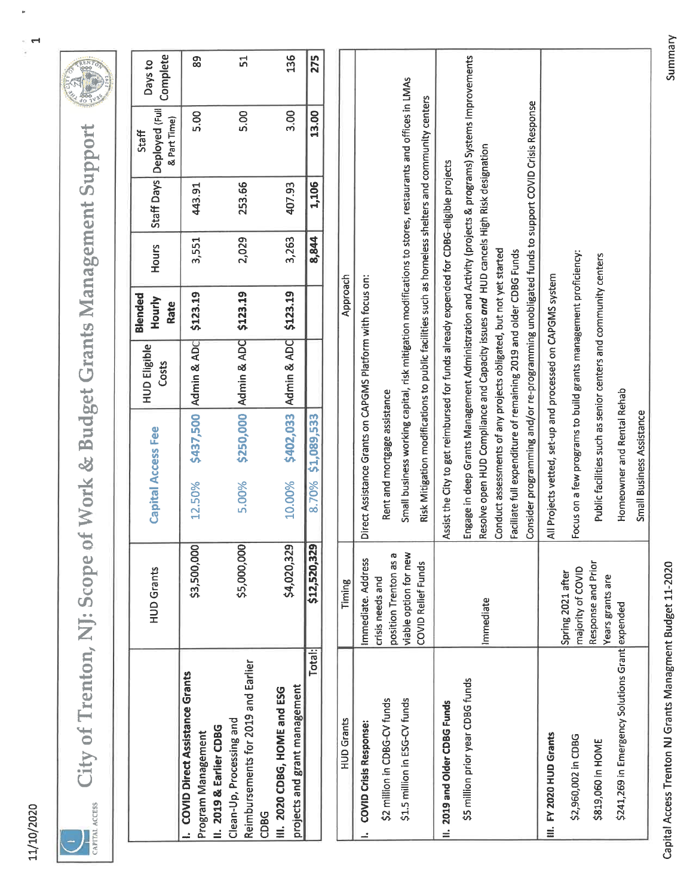| ı<br>ę |
|--------|
|        |
| ۹      |
| ţ      |



City of Trenton, NJ: Scope of Work & Budget Grants Management Support



|                                                                                        | <b>HUD Grants</b>                                                     | <b>Capital Access Fee</b>                                                                                                                                                                                                                | <b>HUD Eligible</b><br>Costs | Blended<br>Hourly<br>Rate | Hours | Staff Days | Deployed (Full<br>& Part Time)<br>Staff | Complete<br>Days to |
|----------------------------------------------------------------------------------------|-----------------------------------------------------------------------|------------------------------------------------------------------------------------------------------------------------------------------------------------------------------------------------------------------------------------------|------------------------------|---------------------------|-------|------------|-----------------------------------------|---------------------|
| <b>COVID Direct Assistance Grants</b><br>II. 2019 & Earlier CDBG<br>Program Management | \$3,500,000                                                           | \$437,500<br>12.50%                                                                                                                                                                                                                      | Admin & ADC                  | \$123.19                  | 3,551 | 443.91     | 5.00                                    | 89                  |
| Reimbursements for 2019 and Earlier<br>Clean-Up, Processing and<br><b>CDBG</b>         | \$5,000,000                                                           | 5.00%                                                                                                                                                                                                                                    | \$250,000 Admin & ADC        | \$123.19                  | 2,029 | 253.66     | 5.00                                    | 51                  |
| projects and grant management<br>III. 2020 CDBG, HOME and ESG                          | \$4,020,329                                                           | \$402,033<br>10.00%                                                                                                                                                                                                                      | Admin & ADC                  | \$123.19                  | 3,263 | 407.93     | 3.00                                    | 136                 |
| Total:                                                                                 | \$12,520,329                                                          | \$1,089,533<br>8.70%                                                                                                                                                                                                                     |                              |                           | 8,844 | 1,106      | 13.00                                   | 275                 |
| <b>HUD Grants</b>                                                                      | Timing                                                                |                                                                                                                                                                                                                                          |                              | Approach                  |       |            |                                         |                     |
| <b>COVID Crisis Response:</b>                                                          | Immediate. Address                                                    | Direct Assistance Grants on CAPGMS Platform with focus on:                                                                                                                                                                               |                              |                           |       |            |                                         |                     |
| \$2 million in CDBG-CV funds<br>\$1.5 million in ESG-CV funds                          | viable option for new<br>Ø<br>position Trenton as<br>crisis needs and | Small business working capital, risk mitigation modifications to stores, restaurants and offices in LMAs<br>Rent and mortgage assistance                                                                                                 |                              |                           |       |            |                                         |                     |
|                                                                                        | <b>COVID Relief Funds</b>                                             | Risk Mitigation modifications to public facilities such as homeless shelters and community centers                                                                                                                                       |                              |                           |       |            |                                         |                     |
| II. 2019 and Older CDBG Funds                                                          |                                                                       | Assist the City to get reimbursed for funds already expended for CDBG-eligible projects                                                                                                                                                  |                              |                           |       |            |                                         |                     |
| \$5 million prior year CDBG funds                                                      | Immediate                                                             | Engage in deep Grants Management Administration and Activity (projects & programs) Systems Improvements<br>Resolve open HUD Compliance and Capacity issues and HUD cancels High Risk designation                                         |                              |                           |       |            |                                         |                     |
|                                                                                        |                                                                       | Consider programming and/or re-programming unobligated funds to support COVID Crisis Response<br>Conduct assessments of any projects obligated, but not yet started<br>Faciliate full expenditure of remaining 2019 and older CDBG Funds |                              |                           |       |            |                                         |                     |
| III. FY 2020 HUD Grants                                                                |                                                                       | All Projects vetted, set-up and processed on CAPGMS system                                                                                                                                                                               |                              |                           |       |            |                                         |                     |
| \$2,960,002 in CDBG                                                                    | majority of COVID<br>Spring 2021 after                                | Focus on a few programs to build grants management proficiency:                                                                                                                                                                          |                              |                           |       |            |                                         |                     |
| \$819,060 in HOME                                                                      | Response and Prior                                                    | Public facilities such as senior centers and community centers                                                                                                                                                                           |                              |                           |       |            |                                         |                     |

Homeowner and Rental Rehab Small Business Assistance

Years grants are

\$241,269 in Emergency Solutions Grant expended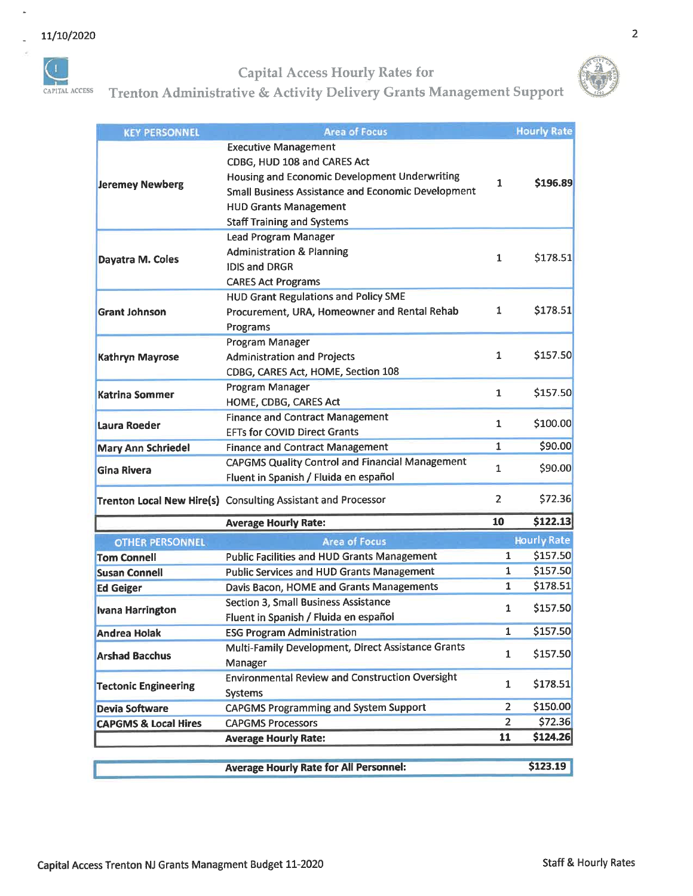i,



## Capital Access Hourly Rates for



# Trenton Administrative & Activity Delivery Grants Management Support

| <b>KEY PERSONNEL</b>            | <b>Area of Focus</b>                                                                                                                                                                                                                   |                | <b>Hourly Rate</b> |
|---------------------------------|----------------------------------------------------------------------------------------------------------------------------------------------------------------------------------------------------------------------------------------|----------------|--------------------|
| <b>Jeremey Newberg</b>          | <b>Executive Management</b><br>CDBG, HUD 108 and CARES Act<br>Housing and Economic Development Underwriting<br>Small Business Assistance and Economic Development<br><b>HUD Grants Management</b><br><b>Staff Training and Systems</b> | 1              | \$196.89           |
| Dayatra M. Coles                | <b>Lead Program Manager</b><br><b>Administration &amp; Planning</b><br><b>IDIS and DRGR</b><br><b>CARES Act Programs</b>                                                                                                               | 1              | \$178.51           |
| <b>Grant Johnson</b>            | <b>HUD Grant Regulations and Policy SME</b><br>Procurement, URA, Homeowner and Rental Rehab<br>Programs                                                                                                                                | 1              | \$178.51           |
| Kathryn Mayrose                 | Program Manager<br><b>Administration and Projects</b><br>CDBG, CARES Act, HOME, Section 108                                                                                                                                            | 1              | \$157.50           |
| <b>Katrina Sommer</b>           | Program Manager<br>HOME, CDBG, CARES Act                                                                                                                                                                                               | 1              | \$157.50           |
| Laura Roeder                    | <b>Finance and Contract Management</b><br><b>FFTs for COVID Direct Grants</b>                                                                                                                                                          | 1              | \$100.00           |
| <b>Mary Ann Schriedel</b>       | <b>Finance and Contract Management</b>                                                                                                                                                                                                 | 1              | \$90.00            |
| <b>Gina Rivera</b>              | <b>CAPGMS Quality Control and Financial Management</b><br>Fluent in Spanish / Fluida en español                                                                                                                                        | 1              | \$90.00            |
|                                 | Trenton Local New Hire(s) Consulting Assistant and Processor                                                                                                                                                                           | $\overline{2}$ | \$72.36            |
|                                 | <b>Average Hourly Rate:</b>                                                                                                                                                                                                            | 10             | \$122.13           |
| <b>OTHER PERSONNEL</b>          | <b>Area of Focus</b>                                                                                                                                                                                                                   |                | <b>Hourly Rate</b> |
| <b>Tom Connell</b>              | <b>Public Facilities and HUD Grants Management</b>                                                                                                                                                                                     | 1              | \$157.50           |
| <b>Susan Connell</b>            | <b>Public Services and HUD Grants Management</b>                                                                                                                                                                                       | 1              | \$157.50           |
| <b>Ed Geiger</b>                | Davis Bacon, HOME and Grants Managements                                                                                                                                                                                               | $\overline{1}$ | \$178.51           |
| <b>Ivana Harrington</b>         | Section 3, Small Business Assistance<br>Fluent in Spanish / Fluida en español                                                                                                                                                          | 1              | \$157.50           |
| <b>Andrea Holak</b>             | <b>ESG Program Administration</b>                                                                                                                                                                                                      | 1              | \$157.50           |
| <b>Arshad Bacchus</b>           | Multi-Family Development, Direct Assistance Grants<br>Manager                                                                                                                                                                          | $\mathbf{1}$   | \$157.50           |
| <b>Tectonic Engineering</b>     | <b>Environmental Review and Construction Oversight</b><br><b>Systems</b>                                                                                                                                                               | 1              | \$178.51           |
| <b>Devia Software</b>           | <b>CAPGMS Programming and System Support</b>                                                                                                                                                                                           | $\overline{2}$ | \$150.00           |
| <b>CAPGMS &amp; Local Hires</b> | <b>CAPGMS Processors</b>                                                                                                                                                                                                               | 2              | \$72.36            |
|                                 | <b>Average Hourly Rate:</b>                                                                                                                                                                                                            | 11             | \$124.26           |
|                                 | <b>Average Hourly Rate for All Personnel:</b>                                                                                                                                                                                          |                | \$123.19           |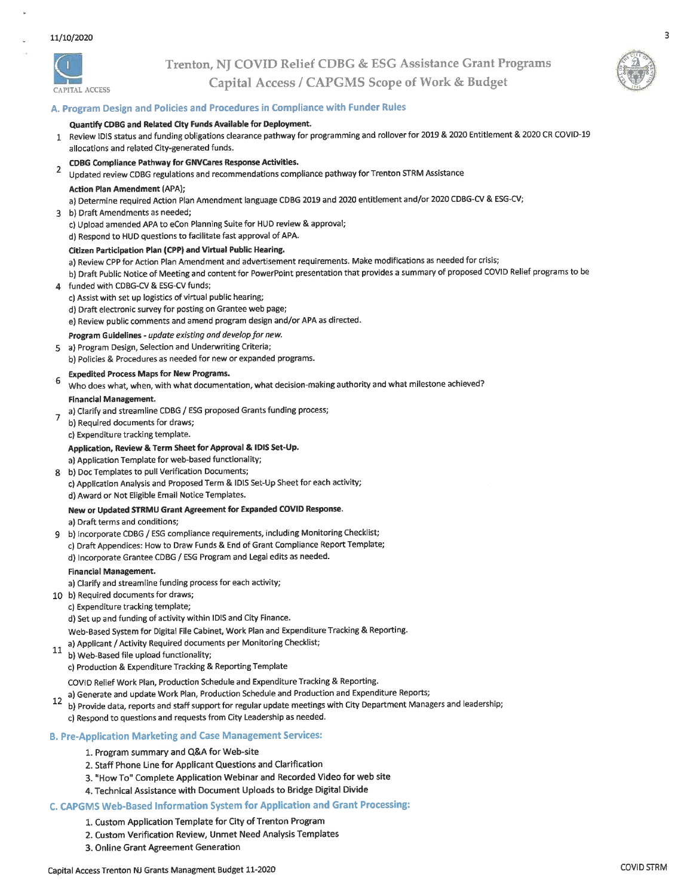

## Trenton, NJ COVID Relief CDBG & ESG Assistance Grant Programs Capital Access / CAPGMS Scope of Work & Budget



 $\overline{3}$ 

## A. Program Design and Policies and Procedures in Compliance with Funder Rules

#### Quantify CDBG and Related City Funds Available for Deployment.

1 Review IDIS status and funding obligations clearance pathway for programming and rollover for 2019 & 2020 Entitlement & 2020 CR COVID-19 allocations and related City-generated funds.

#### **CDBG Compliance Pathway for GNVCares Response Activities.**

 $\mathbf 2$ Updated review CDBG regulations and recommendations compliance pathway for Trenton STRM Assistance

#### **Action Plan Amendment (APA);**

a) Determine required Action Plan Amendment language CDBG 2019 and 2020 entitlement and/or 2020 CDBG-CV & ESG-CV;

- 3 b) Draft Amendments as needed;
	- c) Upload amended APA to eCon Planning Suite for HUD review & approval;
	- d) Respond to HUD questions to facilitate fast approval of APA.

#### Citizen Participation Plan (CPP) and Virtual Public Hearing.

a) Review CPP for Action Plan Amendment and advertisement requirements. Make modifications as needed for crisis;

b) Draft Public Notice of Meeting and content for PowerPoint presentation that provides a summary of proposed COVID Relief programs to be

- funded with CDBG-CV & ESG-CV funds; 4
	- c) Assist with set up logistics of virtual public hearing;

d) Draft electronic survey for posting on Grantee web page;

e) Review public comments and amend program design and/or APA as directed.

- Program Guidelines update existing and develop for new.
- 5 a) Program Design, Selection and Underwriting Criteria;

b) Policies & Procedures as needed for new or expanded programs.

#### **Expedited Process Maps for New Programs.**

- 6 Who does what, when, with what documentation, what decision-making authority and what milestone achieved? **Financial Management.**
- a) Clarify and streamline CDBG / ESG proposed Grants funding process;  $\overline{7}$ 
	- b) Required documents for draws;
	- c) Expenditure tracking template.

#### Application, Review & Term Sheet for Approval & IDIS Set-Up.

a) Application Template for web-based functionality;

b) Doc Templates to pull Verification Documents; c) Application Analysis and Proposed Term & IDIS Set-Up Sheet for each activity; d) Award or Not Eligible Email Notice Templates.

### New or Updated STRMU Grant Agreement for Expanded COVID Response.

a) Draft terms and conditions;

b) incorporate CDBG / ESG compliance requirements, including Monitoring Checklist;  $\mathbf{q}$ c) Draft Appendices: How to Draw Funds & End of Grant Compliance Report Template; d) Incorporate Grantee CDBG / ESG Program and Legal edits as needed.

#### **Financial Management.**

- a) Clarify and streamline funding process for each activity;
- 10 b) Required documents for draws;
- c) Expenditure tracking template;
	- d) Set up and funding of activity within IDIS and City Finance.
	- Web-Based System for Digital File Cabinet, Work Plan and Expenditure Tracking & Reporting.
- a) Applicant / Activity Required documents per Monitoring Checklist;
- 11 b) Web-Based file upload functionality;
	- c) Production & Expenditure Tracking & Reporting Template

COVID Relief Work Plan, Production Schedule and Expenditure Tracking & Reporting.

- a) Generate and update Work Plan, Production Schedule and Production and Expenditure Reports;
- 12 b) Provide data, reports and staff support for regular update meetings with City Department Managers and leadership; c) Respond to questions and requests from City Leadership as needed.

#### **B. Pre-Application Marketing and Case Management Services:**

- 1. Program summary and Q&A for Web-site
- 2. Staff Phone Line for Applicant Questions and Clarification
- 3. "How To" Complete Application Webinar and Recorded Video for web site
- 4. Technical Assistance with Document Uploads to Bridge Digital Divide

#### C. CAPGMS Web-Based Information System for Application and Grant Processing:

- 1. Custom Application Template for City of Trenton Program
- 2. Custom Verification Review, Unmet Need Analysis Templates
- 3. Online Grant Agreement Generation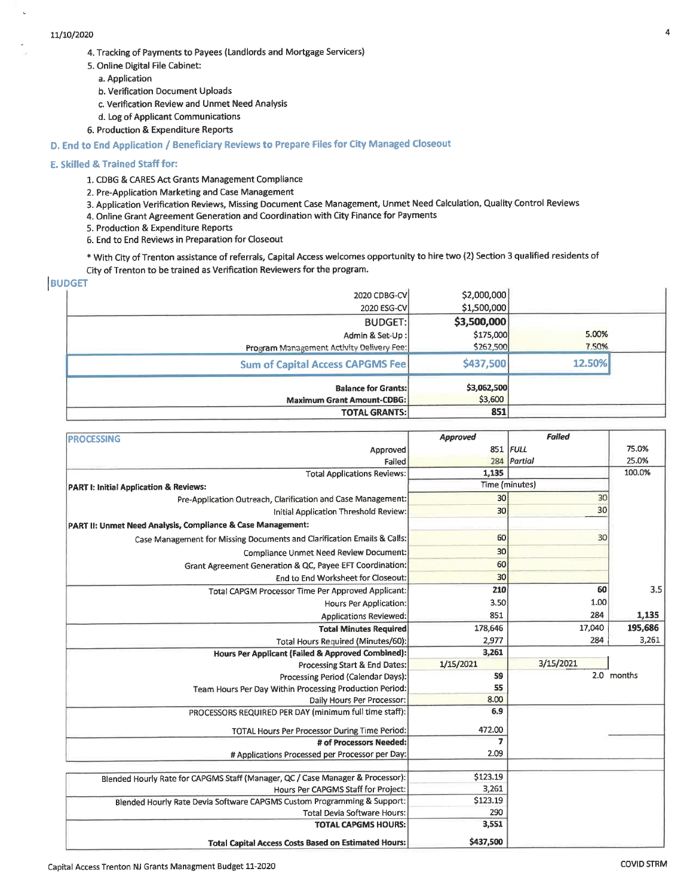#### 11/10/2020

- 4. Tracking of Payments to Payees (Landlords and Mortgage Servicers)
- 5. Online Digital File Cabinet:
	- a. Application
	- b. Verification Document Uploads
	- c. Verification Review and Unmet Need Analysis
	- d. Log of Applicant Communications
- 6. Production & Expenditure Reports

#### D. End to End Application / Beneficiary Reviews to Prepare Files for City Managed Closeout

#### E. Skilled & Trained Staff for:

- 1. CDBG & CARES Act Grants Management Compliance
- 2. Pre-Application Marketing and Case Management
- 3. Application Verification Reviews, Missing Document Case Management, Unmet Need Calculation, Quality Control Reviews
- 4. Online Grant Agreement Generation and Coordination with City Finance for Payments
- 5. Production & Expenditure Reports
- 6. End to End Reviews in Preparation for Closeout
- \* With City of Trenton assistance of referrals, Capital Access welcomes opportunity to hire two (2) Section 3 qualified residents of City of Trenton to be trained as Verification Reviewers for the program.

#### **BUDGET**

| \$2,000,000 |                                                                                                                                                                                                                                                                                                             |
|-------------|-------------------------------------------------------------------------------------------------------------------------------------------------------------------------------------------------------------------------------------------------------------------------------------------------------------|
|             |                                                                                                                                                                                                                                                                                                             |
| \$3,500,000 |                                                                                                                                                                                                                                                                                                             |
|             | 5.00%                                                                                                                                                                                                                                                                                                       |
|             | 7.50%                                                                                                                                                                                                                                                                                                       |
| \$437,500   | 12.50%                                                                                                                                                                                                                                                                                                      |
|             |                                                                                                                                                                                                                                                                                                             |
| \$3,600     |                                                                                                                                                                                                                                                                                                             |
| 851         |                                                                                                                                                                                                                                                                                                             |
|             | 2020 CDBG-CV<br>\$1,500,000<br>2020 ESG-CV<br><b>BUDGET:</b><br>\$175,000<br>Admin & Set-Up:<br>\$262,500<br>Program Management Activity Delivery Fee:<br><b>Sum of Capital Access CAPGMS Fee</b><br>\$3,062,500<br><b>Balance for Grants:</b><br><b>Maximum Grant Amount-CDBG:</b><br><b>TOTAL GRANTS:</b> |

| <b>PROCESSING</b>                                                              | Approved       | <b>Failed</b>  |            |
|--------------------------------------------------------------------------------|----------------|----------------|------------|
| Approved                                                                       |                | 851 FULL       | 75.0%      |
| Failed                                                                         | 284            | Partial        | 25.0%      |
| <b>Total Applications Reviews:</b>                                             | 1,135          |                | 100.0%     |
| <b>PART I: Initial Application &amp; Reviews:</b>                              |                | Time (minutes) |            |
| Pre-Application Outreach, Clarification and Case Management:                   | 30             | 30             |            |
| Initial Application Threshold Review:                                          | 30             | 30             |            |
| PART II: Unmet Need Analysis, Compliance & Case Management:                    |                |                |            |
| Case Management for Missing Documents and Clarification Emails & Calls:        | 60             | 30             |            |
| Compliance Unmet Need Review Document:                                         | 30             |                |            |
| Grant Agreement Generation & QC, Payee EFT Coordination:                       | 60             |                |            |
| End to End Worksheet for Closeout:                                             | 30             |                |            |
| Total CAPGM Processor Time Per Approved Applicant:                             | 210            | 60             | 3.5        |
| Hours Per Application:                                                         | 3.50           | 1.00           |            |
| Applications Reviewed:                                                         | 851            | 284            | 1,135      |
| <b>Total Minutes Required</b>                                                  | 178,646        | 17,040         | 195,686    |
| Total Hours Required (Minutes/60):                                             | 2,977          | 284            | 3,261      |
| <b>Hours Per Applicant (Failed &amp; Approved Combined):</b>                   | 3,261          |                |            |
| Processing Start & End Dates:                                                  | 1/15/2021      | 3/15/2021      |            |
| Processing Period (Calendar Days):                                             | 59             |                | 2.0 months |
| Team Hours Per Day Within Processing Production Period:                        | 55             |                |            |
| Daily Hours Per Processor:                                                     | 8.00           |                |            |
| PROCESSORS REQUIRED PER DAY (minimum full time staff):                         | 6.9            |                |            |
| TOTAL Hours Per Processor During Time Period:                                  | 472.00         |                |            |
| # of Processors Needed:                                                        | $\overline{z}$ |                |            |
| # Applications Processed per Processor per Day:                                | 2.09           |                |            |
|                                                                                |                |                |            |
| Blended Hourly Rate for CAPGMS Staff (Manager, QC / Case Manager & Processor): | \$123.19       |                |            |
| Hours Per CAPGMS Staff for Project:                                            | 3,261          |                |            |
| Blended Hourly Rate Devia Software CAPGMS Custom Programming & Support:        | \$123.19       |                |            |
| <b>Total Devia Software Hours:</b>                                             | 290            |                |            |
| <b>TOTAL CAPGMS HOURS:</b>                                                     | 3,551          |                |            |
| <b>Total Capital Access Costs Based on Estimated Hours:</b>                    | \$437,500      |                |            |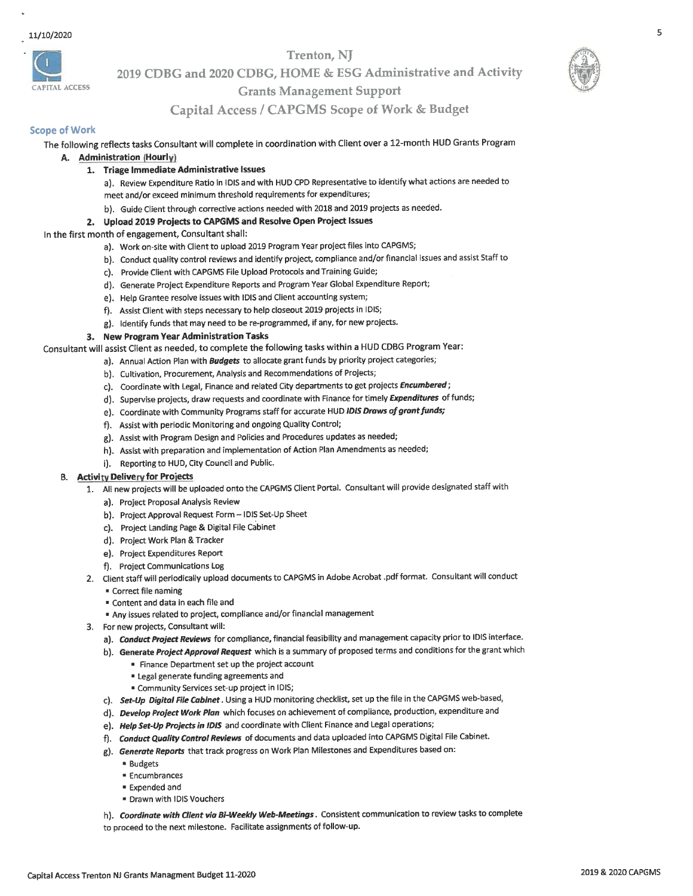

2019 CDBG and 2020 CDBG, HOME & ESG Administrative and Activity

### **Grants Management Support**



#### **Scope of Work**

APITAL ACCESS

#### The following reflects tasks Consultant will complete in coordination with Client over a 12-month HUD Grants Program

- A. Administration (Hourly)
	- 1. Triage Immediate Administrative Issues

a). Review Expenditure Ratio in IDIS and with HUD CPD Representative to identify what actions are needed to meet and/or exceed minimum threshold requirements for expenditures;

b). Guide Client through corrective actions needed with 2018 and 2019 projects as needed.

#### 2. Upload 2019 Projects to CAPGMS and Resolve Open Project Issues

#### In the first month of engagement, Consultant shall:

- a). Work on-site with Client to upload 2019 Program Year project files into CAPGMS;
- b). Conduct quality control reviews and identify project, compliance and/or financial issues and assist Staff to
- c). Provide Client with CAPGMS File Upload Protocols and Training Guide;
- d). Generate Project Expenditure Reports and Program Year Global Expenditure Report;
- e). Help Grantee resolve issues with IDIS and Client accounting system;
- f). Assist Client with steps necessary to help closeout 2019 projects in IDIS;
- g). Identify funds that may need to be re-programmed, if any, for new projects.

#### 3. New Program Year Administration Tasks

Consultant will assist Client as needed, to complete the following tasks within a HUD CDBG Program Year:

- a). Annual Action Plan with Budgets to allocate grant funds by priority project categories;
- b). Cultivation, Procurement, Analysis and Recommendations of Projects;
- c). Coordinate with Legal, Finance and related City departments to get projects Encumbered;
- d). Supervise projects, draw requests and coordinate with Finance for timely Expenditures of funds;
- e). Coordinate with Community Programs staff for accurate HUD IDIS Draws of grant funds;
- f). Assist with periodic Monitoring and ongoing Quality Control;
- g). Assist with Program Design and Policies and Procedures updates as needed;
- h). Assist with preparation and implementation of Action Plan Amendments as needed;
- i). Reporting to HUD, City Council and Public.

#### **B.** Activity Delivery for Projects

- 1. All new projects will be uploaded onto the CAPGMS Client Portal. Consultant will provide designated staff with
	- a). Project Proposal Analysis Review
	- b). Project Approval Request Form IDIS Set-Up Sheet
	- c). Project Landing Page & Digital File Cabinet
	- d). Project Work Plan & Tracker
	- e). Project Expenditures Report
	- f). Project Communications Log
- 2. Client staff will periodically upload documents to CAPGMS in Adobe Acrobat .pdf format. Consultant will conduct
	- Correct file naming
		- " Content and data in each file and
		- Any issues related to project, compliance and/or financial management
- 3. For new projects, Consultant will:
	- a). Conduct Project Reviews for compliance, financial feasibility and management capacity prior to IDIS interface.
	- b). Generate Project Approval Request which is a summary of proposed terms and conditions for the grant which
		- " Finance Department set up the project account
		- **ELegal generate funding agreements and**
		- \* Community Services set-up project in IDIS;
	- c). Set-Up Digital File Cabinet. Using a HUD monitoring checklist, set up the file in the CAPGMS web-based,
	- d). Develop Project Work Plan which focuses on achievement of compliance, production, expenditure and
	- e). Help Set-Up Projects in IDIS and coordinate with Client Finance and Legal operations;
	- f). Conduct Quality Control Reviews of documents and data uploaded into CAPGMS Digital File Cabinet.
	- g). Generate Reports that track progress on Work Plan Milestones and Expenditures based on:
		- **Budgets**
		- **Encumbrances**
		- Expended and
		- Drawn with IDIS Vouchers
	- h). Coordinate with Client via Bi-Weekly Web-Meetings. Consistent communication to review tasks to complete
	- to proceed to the next milestone. Facilitate assignments of follow-up.

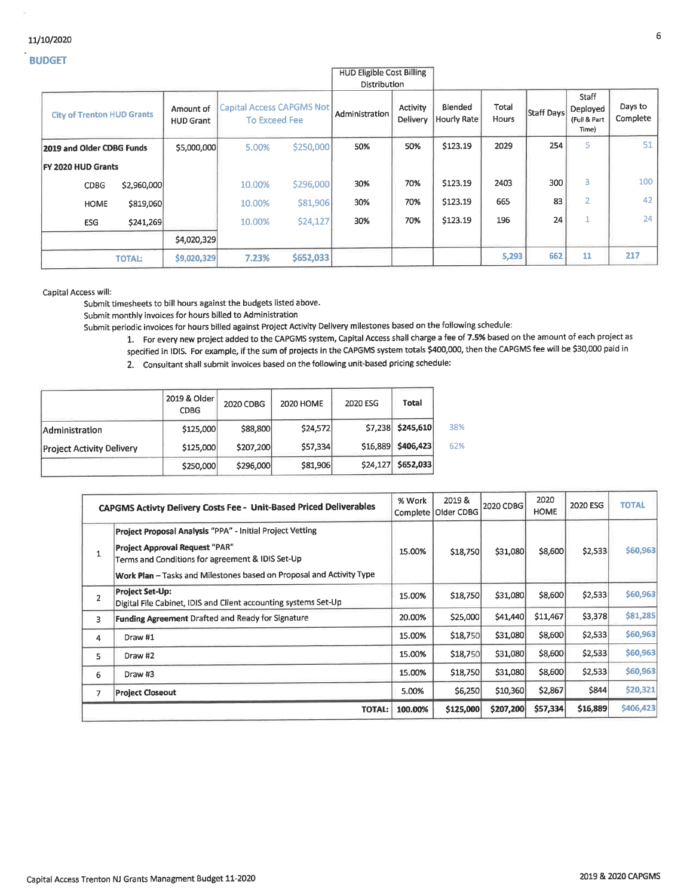#### 11/10/2020

#### **BUDGET**

|                                   |               |                               |                                                   |           | HUD Eligible Cost Billing<br>Distribution |                      |                        |                |            |                                            |                     |
|-----------------------------------|---------------|-------------------------------|---------------------------------------------------|-----------|-------------------------------------------|----------------------|------------------------|----------------|------------|--------------------------------------------|---------------------|
| <b>City of Trenton HUD Grants</b> |               | Amount of<br><b>HUD Grant</b> | Capital Access CAPGMS Not<br><b>To Exceed Fee</b> |           | Administration                            | Activity<br>Delivery | Blended<br>Hourly Rate | Total<br>Hours | Staff Days | Staff<br>Deployed<br>(Full & Part<br>Time) | Days to<br>Complete |
| 2019 and Older CDBG Funds         |               | \$5,000,000                   | 5.00%                                             | \$250,000 | 50%                                       | 50%                  | \$123.19               | 2029           | 254        | 5                                          | 51                  |
| FY 2020 HUD Grants                |               |                               |                                                   |           |                                           |                      |                        |                |            |                                            |                     |
| CDBG                              | \$2,960,000   |                               | 10.00%                                            | \$296,000 | 30%                                       | 70%                  | \$123.19               | 2403           | 300        | 3                                          | 100                 |
| <b>HOME</b>                       | \$819,060     |                               | 10.00%                                            | \$81,906  | 30%                                       | 70%                  | \$123.19               | 665            | 83         | $\overline{2}$                             | 42                  |
| ESG                               | \$241,269     |                               | 10.00%                                            | \$24,127  | 30%                                       | 70%                  | \$123.19               | 196            | 24         | 1                                          | 24                  |
|                                   |               | \$4,020,329                   |                                                   |           |                                           |                      |                        |                |            |                                            |                     |
|                                   | <b>TOTAL:</b> | \$9,020,329                   | 7.23%                                             | \$652,033 |                                           |                      |                        | 5,293          | 662        | 11                                         | 217                 |

# HUD Fligible Cost Billi

Capital Access will:

Submit timesheets to bill hours against the budgets listed above.

Submit monthly invoices for hours billed to Administration

Submit periodic invoices for hours billed against Project Activity Delivery milestones based on the following schedule:

1. For every new project added to the CAPGMS system, Capital Access shall charge a fee of 7.5% based on the amount of each project as specified in IDIS. For example, if the sum of projects in the CAPGMS system totals \$400,000, then the CAPGMS fee will be \$30,000 paid in

2. Consultant shall submit invoices based on the following unit-based pricing schedule:

|                                  | 2019 & Older<br><b>CDBG</b> | 2020 CDBG | 2020 HOME | 2020 ESG | Total             |  |
|----------------------------------|-----------------------------|-----------|-----------|----------|-------------------|--|
| Administration                   | \$125,000                   | \$88,800  | \$24,572  |          | \$7,238 \$245,610 |  |
| <b>Project Activity Delivery</b> | \$125,000                   | \$207,200 | \$57,334  | \$16,889 | \$406,423         |  |
|                                  | \$250,000                   | \$296,000 | \$81,906  | \$24,127 | \$652,033         |  |

| CAPGMS Activty Delivery Costs Fee - Unit-Based Priced Deliverables |                                                                                                                                                                                                                         |         | 2019 &<br>Older CDBG<br>Complete | 2020 CDBG | 2020<br><b>HOME</b> | 2020 ESG | <b>TOTAL</b> |
|--------------------------------------------------------------------|-------------------------------------------------------------------------------------------------------------------------------------------------------------------------------------------------------------------------|---------|----------------------------------|-----------|---------------------|----------|--------------|
|                                                                    | Project Proposal Analysis "PPA" - Initial Project Vetting<br>Project Approval Request "PAR"<br>Terms and Conditions for agreement & IDIS Set-Up<br>Work Plan - Tasks and Milestones based on Proposal and Activity Type | 15.00%  | \$18,750                         | \$31,080  | \$8,600             | \$2,533  | \$60,963     |
| $\overline{2}$                                                     | <b>Project Set-Up:</b><br>Digital File Cabinet, IDIS and Client accounting systems Set-Up                                                                                                                               | 15.00%  | \$18,750                         | \$31,080  | \$8,600             | \$2,533  | \$60,963     |
| 3                                                                  | Funding Agreement Drafted and Ready for Signature                                                                                                                                                                       | 20.00%  | \$25,000                         | \$41,440  | \$11,467            | \$3,378  | \$81,285     |
| 4                                                                  | Draw #1                                                                                                                                                                                                                 | 15.00%  | \$18,750                         | \$31,080  | \$8,600             | \$2,533  | \$60,963     |
| 5                                                                  | Draw #2                                                                                                                                                                                                                 | 15.00%  | \$18,750                         | \$31,080  | \$8,600             | \$2,533  | \$60,963     |
| 6                                                                  | Draw #3                                                                                                                                                                                                                 | 15.00%  | \$18,750                         | \$31,080  | \$8,600             | \$2,533  | \$60,963     |
| 7                                                                  | <b>Project Closeout</b>                                                                                                                                                                                                 | 5.00%   | \$6,250                          | \$10,360  | \$2,867             | \$844    | \$20,321     |
|                                                                    | <b>TOTAL:</b>                                                                                                                                                                                                           | 100.00% | \$125,000                        | \$207,200 | \$57,334            | \$16,889 | \$406,423    |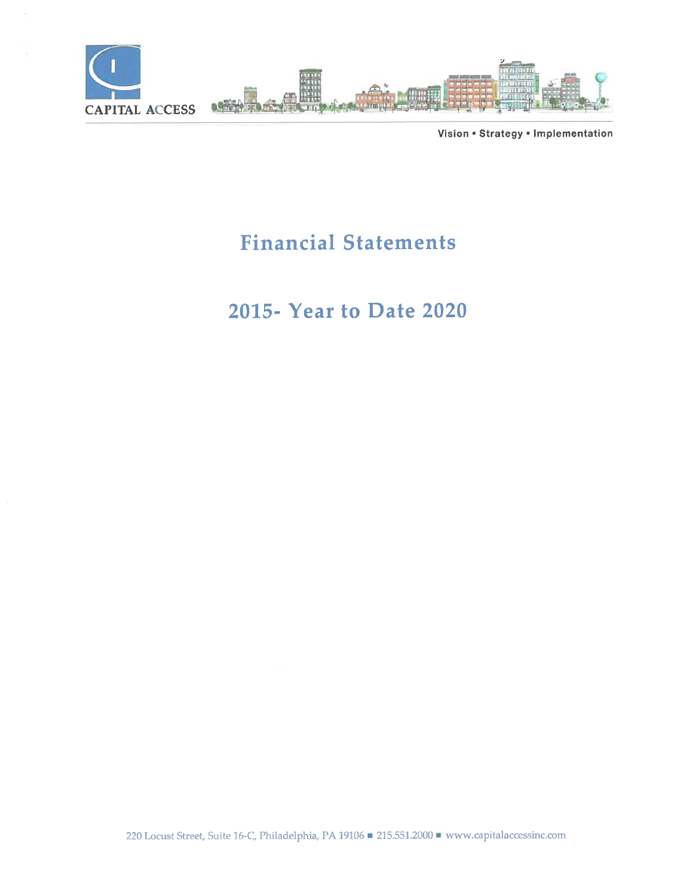

Vision . Strategy . Implementation

# **Financial Statements**

# 2015- Year to Date 2020

220 Locust Street, Suite 16-C, Philadelphia, PA 19106 215.551.2000 www.capitalaccessinc.com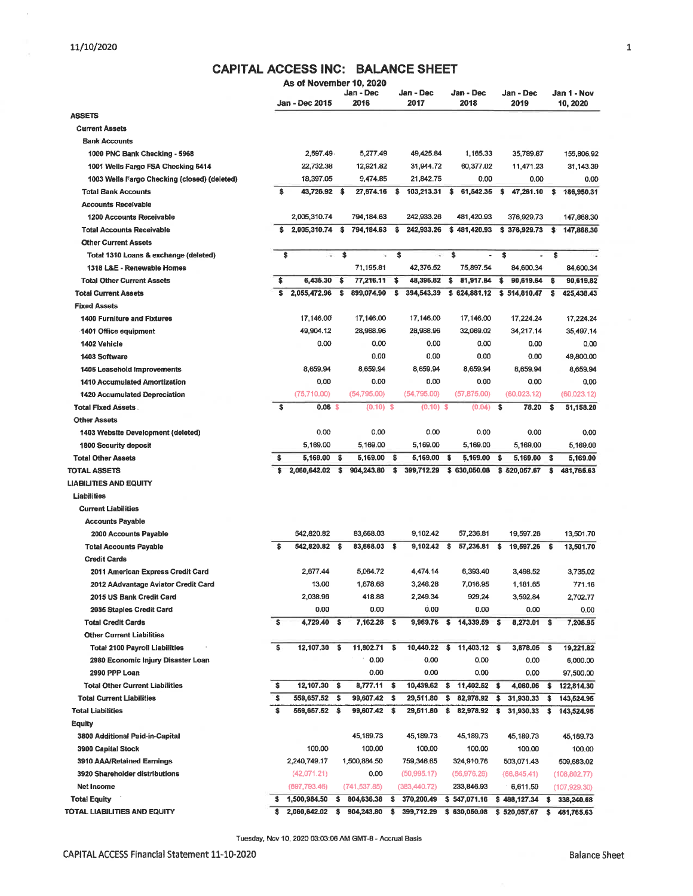$\bar{z}$ 

## CAPITAL ACCESS INC: BALANCE SHEET

|                                              |     | As of November 10, 2020 |     |                   |              |                   |                      |                   |      |                         |
|----------------------------------------------|-----|-------------------------|-----|-------------------|--------------|-------------------|----------------------|-------------------|------|-------------------------|
|                                              |     | <b>Jan - Dec 2015</b>   |     | Jan - Dec<br>2016 |              | Jan - Dec<br>2017 | Jan - Dec<br>2018    | Jan - Dec<br>2019 |      | Jan 1 - Nov<br>10, 2020 |
| <b>ASSETS</b>                                |     |                         |     |                   |              |                   |                      |                   |      |                         |
| <b>Current Assets</b>                        |     |                         |     |                   |              |                   |                      |                   |      |                         |
|                                              |     |                         |     |                   |              |                   |                      |                   |      |                         |
| <b>Bank Accounts</b>                         |     | 2,597.49                |     | 5,277.49          |              | 49,425.84         |                      | 35,789.87         |      |                         |
| 1000 PNC Bank Checking - 5968                |     |                         |     |                   |              |                   | 1,165.33             |                   |      | 155,806.92              |
| 1001 Wells Fargo FSA Checking 6414           |     | 22,732.38               |     | 12,921.82         |              | 31,944.72         | 60,377.02            | 11,471.23         |      | 31,143.39               |
| 1003 Wells Fargo Checking (closed) (deleted) |     | 18,397.05               |     | 9,474.85          |              | 21,842.75         | 0.00                 | 0.00              |      | 0.00                    |
| <b>Total Bank Accounts</b>                   | \$  | 43,726.92 \$            |     | 27,674.16         | \$           | $103,213.31$ \$   | 61,542.35            | \$<br>47,261.10   | s    | 186,950.31              |
| <b>Accounts Receivable</b>                   |     |                         |     |                   |              |                   |                      |                   |      |                         |
| <b>1200 Accounts Receivable</b>              |     | 2,005,310.74            |     | 794,184.63        |              | 242 933 26        | 481,420.93           | 376,929.73        |      | 147,868.30              |
| <b>Total Accounts Receivable</b>             | s   | 2,005,310.74            | \$  | 794,184.63        | \$           | 242,933.26        | \$481,420.93         | \$376,929.73      | s.   | 147,868.30              |
| <b>Other Current Assets</b>                  |     |                         |     |                   |              |                   |                      |                   |      |                         |
| Total 1310 Loans & exchange (deleted)        | \$  | Ξ                       |     | \$<br>Ξ           |              | \$<br>¥,          | \$                   | \$                | s    |                         |
| 1318 L&E - Renewable Homes                   |     |                         |     | 71,195.81         |              | 42,376.52         | 75,897.54            | 84,600.34         |      | 84,600.34               |
| <b>Total Other Current Assets</b>            | \$  | 6,435.30                | -\$ | 77,216.11         | \$           | 48,396.82         | \$<br>81,917.84      | \$<br>90,619.64   | \$   | 90,619,82               |
| <b>Total Current Assets</b>                  | \$  | 2,055,472.96            | \$  | 899,074.90        | s            | 394,543.39        | \$624,881.12         | \$514,810.47      | s    | 425,438.43              |
| <b>Fixed Assets</b>                          |     |                         |     |                   |              |                   |                      |                   |      |                         |
| <b>1400 Furniture and Fixtures</b>           |     | 17,146.00               |     | 17,146.00         |              | 17,146.00         | 17,146.00            | 17,224.24         |      | 17,224.24               |
| 1401 Office equipment                        |     | 49,904.12               |     | 28,988.96         |              | 28,988.96         | 32,069.02            | 34,217.14         |      | 35,497.14               |
| 1402 Vehicle                                 |     | 0.00                    |     | 0.00              |              | 0.00              | 0.00                 | 0.00              |      | 0.00                    |
| 1403 Software                                |     |                         |     | 0.00              |              | 0.00              | 0.00                 | 0.00              |      | 49,800.00               |
| 1405 Leasehold Improvements                  |     | 8,659.94                |     | 8,659.94          |              | 8,659.94          | 8,659.94             | 8,659.94          |      | 8,659.94                |
| <b>1410 Accumulated Amortization</b>         |     | 0.00                    |     | 0.00              |              | 0.00              | 0.00                 | 0.00              |      | 0.00                    |
| 1420 Accumulated Depreciation                |     | (75,710.00)             |     | (54,795.00)       |              | (54,795.00)       | (57, 875.00)         | (60,023,12)       |      | (60,023.12)             |
| <b>Total Fixed Assets</b>                    | \$  | 0.06 <sub>5</sub>       |     | $(0.10)$ \$       |              | $(0.10)$ \$       | (0.04)               | \$<br>78.20       | \$   | 51,158.20               |
| <b>Other Assets</b>                          |     |                         |     |                   |              |                   |                      |                   |      |                         |
| 1403 Website Development (deleted)           |     | 0.00                    |     | 0.00              |              | 0.00              | 0.00                 | 0.00              |      | 0.00                    |
| <b>1800 Security deposit</b>                 |     | 5,169.00                |     | 5,169.00          |              | 5,169.00          | 5,169.00             | 5,169.00          |      | 5,169.00                |
| <b>Total Other Assets</b>                    | \$  | 5,169.00                | \$  | 5,169.00          | \$           | 5,169.00          | \$<br>5,169.00       | \$<br>5,169.00    | \$   | 5,169.00                |
| <b>TOTAL ASSETS</b>                          | s   | 2,060,642.02            | s   | 904,243.80        | \$           | 399,712.29        | \$630,050.08         | \$520,057.67      | \$   | 481,765.63              |
| <b>LIABILITIES AND EQUITY</b>                |     |                         |     |                   |              |                   |                      |                   |      |                         |
| Liabilities                                  |     |                         |     |                   |              |                   |                      |                   |      |                         |
| <b>Current Liabilities</b>                   |     |                         |     |                   |              |                   |                      |                   |      |                         |
| <b>Accounts Pavable</b>                      |     |                         |     |                   |              |                   |                      |                   |      |                         |
| 2000 Accounts Payable                        |     | 542,820.82              |     | 83,668.03         |              | 9,102.42          | 57,236.81            | 19,597.26         |      | 13,501.70               |
| <b>Total Accounts Payable</b>                | \$  | 542,820.82 \$           |     | 83,668.03 \$      |              | $9,102.42$ \$     | 57,236.81            | \$<br>19,597.26   | - \$ | 13,501.70               |
| <b>Credit Cards</b>                          |     |                         |     |                   |              |                   |                      |                   |      |                         |
| 2011 American Express Credit Card            |     | 2,677.44                |     | 5.064.72          |              | 4,474.14          | 6,393.40             | 3.498.52          |      | 3,735.02                |
| 2012 AAdvantage Aviator Credit Card          |     | 13.00                   |     | 1.678.68          |              | 3.246.28          | 7.016.95             | 1.181.65          |      | 771.16                  |
| 2015 US Bank Credit Card                     |     | 2,038.96                |     | 418.88            |              | 2,249.34          | 929,24               | 3,592.84          |      | 2,702.77                |
| 2035 Staples Credit Card                     |     | 0.00                    |     | 0.00              |              | 0.00              | 0.00                 | 0.00              |      | 0.00                    |
| <b>Total Credit Cards</b>                    | \$  | 4,729.40                | \$  | $7,162.28$ \$     |              | 9,969.76          | \$<br>14,339.59 \$   | 8,273.01 \$       |      | 7,208.95                |
| <b>Other Current Liabilities</b>             |     |                         |     |                   |              |                   |                      |                   |      |                         |
| <b>Total 2100 Payroll Liabilities</b>        | \$  | 12,107.30               | \$  | 11,802.71         | -\$          | 10,440.22         | \$<br>11,403.12 \$   | 3,878.05          | - S  | 19,221.82               |
| 2980 Economic Injury Disaster Loan           |     |                         |     | 0.00              |              | 0.00              | 0.00                 | 0.00              |      | 6,000.00                |
| 2990 PPP Loan                                |     |                         |     | 0.00              |              | 0.00              | 0.00                 | 0.00              |      | 97,500.00               |
| <b>Total Other Current Liabilities</b>       | \$. | 12,107.30               | \$  | 8,777.11          | -\$          | 10,439.62         | \$<br>$11,402.52$ \$ | 4,060.06          | \$   | 122,814.30              |
| <b>Total Current Liabilities</b>             | \$  | 559,657,52              | \$  | 99,607.42         | $\mathbf{s}$ | 29,511.80         | \$<br>82,978.92      | \$<br>31,930.33   | \$   |                         |
| <b>Total Liabilities</b>                     | s   | 559,657.52              |     |                   |              |                   | 82,978.92            | 31,930.33         |      | 143,524.95              |
|                                              |     |                         | -\$ | 99,607.42 \$      |              | 29,511.80         | \$                   | \$                | \$   | 143,524.95              |
| Equity                                       |     |                         |     |                   |              |                   |                      |                   |      |                         |
| 3800 Additional Paid-in-Capital              |     |                         |     | 45,189.73         |              | 45,189.73         | 45,189.73            | 45,189.73         |      | 45,189.73               |
| <b>3900 Capital Stock</b>                    |     | 100.00                  |     | 100.00            |              | 100.00            | 100.00               | 100.00            |      | 100.00                  |
| 3910 AAA/Retained Earnings                   |     | 2,240,749.17            |     | 1,500,884.50      |              | 759,346.65        | 324,910.76           | 503,071.43        |      | 509,683.02              |
| 3920 Shareholder distributions               |     | (42,071.21)             |     | 0.00              |              | (50, 995.17)      | (56,976.26)          | (66, 845, 41)     |      | (108, 802, 77)          |
| Net Income                                   |     | (697, 793.46)           |     | (741, 537.85)     |              | (383, 440.72)     | 233,846.93           | 6,611.59          |      | (107, 929.30)           |
| <b>Total Equity</b>                          | \$  | 1,500,984.50            | \$  | 804,636.38        | \$           | 370,200.49        | \$547,071.16         | \$488,127.34      | \$   | 338,240.68              |
| TOTAL LIABILITIES AND EQUITY                 | \$  | 2,060,642.02            | s   | 904,243,80        | \$           | 399,712.29        | \$630,050.08         | \$520,057.67      | \$   | 481,765.63              |

Tuesday, Nov 10, 2020 03:03:06 AM GMT-8 - Accrual Basis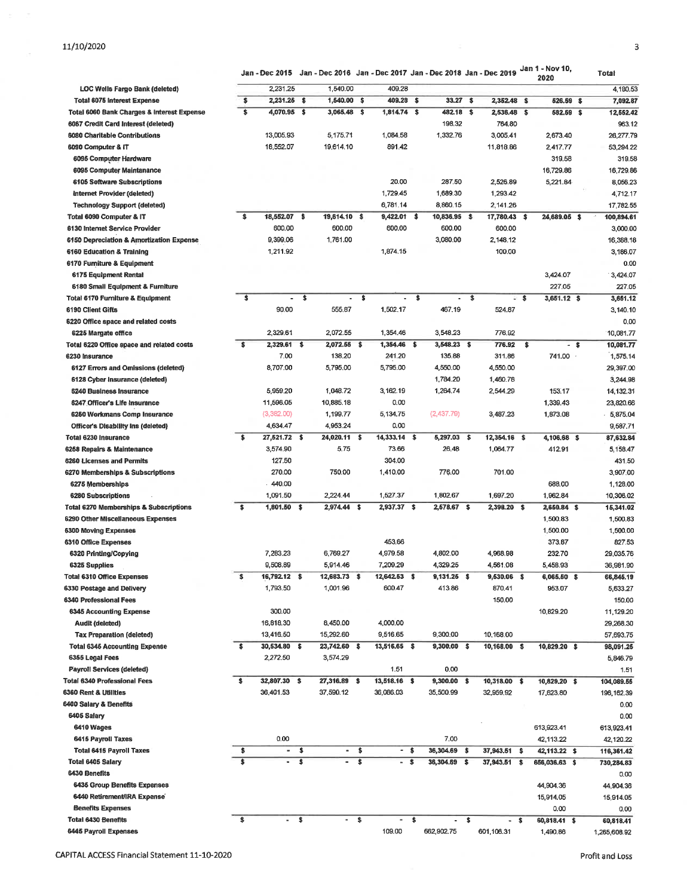Jan - Dec 2015 Jan - Dec 2016 Jan - Dec 2017 Jan - Dec 2018 Jan - Dec 2019 Jan 1 - Nov 10,

|                                                             |                            |                          |                      |                |      |               |                      |               |                  |               |      | Jan 1 - Nov 10,<br>2020 |      | Total        |
|-------------------------------------------------------------|----------------------------|--------------------------|----------------------|----------------|------|---------------|----------------------|---------------|------------------|---------------|------|-------------------------|------|--------------|
| <b>LOC Wells Fargo Bank (deleted)</b>                       |                            | 2,231.25                 |                      | 1.540.00       |      | 409.28        |                      |               |                  |               |      |                         |      | 4,180.53     |
| <b>Total 6075 Interest Expense</b>                          | \$                         | 2,231.25                 | \$                   | $1,540.00$ \$  |      | 409.28 \$     |                      | $33.27$ \$    |                  | 2,352.48 \$   |      | 526.59 \$               |      | 7,092.87     |
| Total 6060 Bank Charges & Interest Expense                  | \$                         | 4,070.95                 | $\ddot{\phantom{1}}$ | 3,065.48 \$    |      | 1,814.74 \$   |                      | 482.18 \$     |                  | 2,536.48 \$   |      | 582.59 \$               |      | 12,552.42    |
| 6067 Credit Card Interest (deleted)                         |                            |                          |                      |                |      |               |                      | 198.32        |                  | 764.80        |      |                         |      | 963.12       |
| 6080 Charitable Contributions                               |                            | 13,005.93                |                      | 5,175.71       |      | 1,084.58      |                      | 1,332.76      |                  | 3,005.41      |      | 2,673.40                |      | 26,277.79    |
| 6090 Computer & IT                                          |                            | 18,552.07                |                      | 19.614.10      |      | 891.42        |                      |               |                  | 11,818.86     |      | 2,417.77                |      | 53,294.22    |
| 6095 Computer Hardware                                      |                            |                          |                      |                |      |               |                      |               |                  |               |      | 319.58                  |      | 319.58       |
| 6095 Computer Maintanance                                   |                            |                          |                      |                |      |               |                      |               |                  |               |      | 16,729.86               |      | 16,729.86    |
| <b>6105 Software Subscriptions</b>                          |                            |                          |                      |                |      | 20.00         |                      | 287.50        |                  | 2,526.89      |      | 5,221.84                |      | 8,056.23     |
| Internet Provider (deleted)                                 |                            |                          |                      |                |      | 1,729.45      |                      | 1,689.30      |                  | 1,293.42      |      |                         |      | 4,712.17     |
| <b>Technology Support (deleted)</b>                         |                            |                          |                      |                |      | 6,781.14      |                      | 8,860.15      |                  | 2,141.26      |      |                         |      | 17,782.55    |
| Total 6090 Computer & IT                                    | \$                         | 18,552.07 \$             |                      | 19,614.10 \$   |      | $9,422.01$ \$ |                      | 10,836.95 \$  |                  | 17,780.43 \$  |      | 24,689.05 \$            |      | 100,894,61   |
| 6130 Internet Service Provider                              |                            | 600.00                   |                      | 600.00         |      | 600.00        |                      | 600.00        |                  | 600.00        |      |                         |      | 3,000.00     |
| 6150 Depreciation & Amortization Expense                    |                            | 9,399.06                 |                      | 1,761.00       |      |               |                      | 3,080.00      |                  | 2,148.12      |      |                         |      | 16,388.18    |
| 6160 Education & Training                                   |                            | 1,211.92                 |                      |                |      | 1,874.15      |                      |               |                  | 100.00        |      |                         |      | 3,186.07     |
| 6170 Furniture & Equipment                                  |                            |                          |                      |                |      |               |                      |               |                  |               |      |                         |      | 0.00         |
| 6175 Equipment Rental                                       |                            |                          |                      |                |      |               |                      |               |                  |               |      | 3,424.07                |      | 3,424.07     |
| 6180 Small Equipment & Furniture                            |                            |                          |                      |                |      |               |                      |               |                  |               |      | 227,05                  |      | 227.05       |
| Total 6170 Furniture & Equipment                            | \$                         | ٠                        | \$                   | ۰              | -\$  | ٠             | $\ddot{\phantom{1}}$ | ٠             | \$               |               | - \$ | $3,651.12$ \$           |      | 3,651.12     |
| <b>6190 Client Gifts</b>                                    |                            | 90.00                    |                      | 555.87         |      | 1,502.17      |                      | 467.19        |                  | 524.87        |      |                         |      | 3,140.10     |
|                                                             |                            |                          |                      |                |      |               |                      |               |                  |               |      |                         |      | 0,00         |
| 6220 Office space and related costs                         |                            | 2,329.61                 |                      | 2,072.55       |      | 1,354.46      |                      | 3,548.23      |                  | 776.92        |      |                         |      |              |
| 6225 Margate office                                         |                            |                          |                      |                |      |               |                      |               |                  |               |      |                         |      | 10,081.77    |
| Total 6220 Office space and related costs<br>6230 Insurance | \$                         | 2,329.61 \$              |                      | 2,072.55 \$    |      | 1,354.46 \$   |                      | $3,548.23$ \$ |                  | 776.92        | -\$  |                         | - \$ | 10,081.77    |
|                                                             |                            | 7.00                     |                      | 138.20         |      | 241.20        |                      | 135.88        |                  | 311.86        |      | 741.00                  |      | 1,575.14     |
| 6127 Errors and Omissions (deleted)                         |                            | 8,707.00                 |                      | 5,795.00       |      | 5,795.00      |                      | 4,550.00      |                  | 4,550.00      |      |                         |      | 29,397.00    |
| 6128 Cyber Insurance (deleted)                              |                            |                          |                      |                |      |               |                      | 1.784.20      |                  | 1,460.78      |      |                         |      | 3,244.98     |
| <b>6240 Business Insurance</b>                              |                            | 5,959.20                 |                      | 1,048.72       |      | 3,162.19      |                      | 1,264.74      |                  | 2,544.29      |      | 153.17                  |      | 14, 132.31   |
| 6247 Officer's Life Insurance                               |                            | 11,596.05                |                      | 10,885.18      |      | 0.00          |                      |               |                  |               |      | 1,339.43                |      | 23,820.66    |
| 6250 Workmans Comp Insurance                                |                            | (3,382.00)               |                      | 1,199.77       |      | 5,134.75      |                      | (2,437.79)    |                  | 3,487.23      |      | 1,873.08                |      | 5,875.04     |
| <b>Officer's Disability Ins (deleted)</b>                   |                            | 4,634.47                 |                      | 4,953.24       |      | 0.00          |                      |               |                  |               |      |                         |      | 9,587.71     |
| Total 6230 Insurance                                        | \$                         | 27,521.72 \$             |                      | 24,020.11 \$   |      | 14,333.14     | -S                   | 5,297.03 \$   |                  | 12,354.16 \$  |      | 4,106.68 \$             |      | 87,632.84    |
| 6258 Repairs & Maintenance                                  |                            | 3,574.90                 |                      | 5.75           |      | 73.66         |                      | 26.48         |                  | 1,064.77      |      | 412.91                  |      | 5,158.47     |
| <b>6260 Licenses and Permits</b>                            |                            | 127.50                   |                      |                |      | 304.00        |                      |               |                  |               |      |                         |      | 431.50       |
| 6270 Memberships & Subscriptions                            |                            | 270.00                   |                      | 750.00         |      | 1,410.00      |                      | 776.00        |                  | 701.00        |      |                         |      | 3,907.00     |
| 6275 Memberships                                            |                            | $-440.00$                |                      |                |      |               |                      |               |                  |               |      | 688.00                  |      | 1,128.00     |
| 6280 Subscriptions                                          |                            | 1,091.50                 |                      | 2,224.44       |      | 1,527.37      |                      | 1,802,67      |                  | 1,697.20      |      | 1,962.84                |      | 10,306.02    |
| Total 6270 Memberships & Subscriptions                      | \$                         | $1,801.50$ \$            |                      | $2,974.44$ \$  |      | 2,937.37 \$   |                      | 2,678.67 \$   |                  | 2,398.20 \$   |      | 2,650.84 \$             |      | 15,341.02    |
| 6290 Other Miscellaneous Expenses                           |                            |                          |                      |                |      |               |                      |               |                  |               |      | 1,500.83                |      | 1,500.83     |
| <b>6300 Moving Expenses</b>                                 |                            |                          |                      |                |      |               |                      |               |                  |               |      | 1,500.00                |      | 1,500.00     |
| 6310 Office Expenses                                        |                            |                          |                      |                |      | 453.66        |                      |               |                  |               |      | 373.87                  |      | 827.53       |
| 6320 Printing/Copying                                       |                            | 7,283.23                 |                      | 6,769.27       |      | 4,979.58      |                      | 4,802.00      |                  | 4,968.98      |      | 232.70                  |      | 29,035.76    |
| 6325 Supplies                                               |                            | 9,508.89                 |                      | 5,914.46       |      | 7,209.29      |                      | 4,329.25      |                  | 4,561.08      |      | 5,458.93                |      | 36,981.90    |
| Total 6310 Office Expenses                                  | s                          | 16,792.12 \$             |                      | 12,683.73      | - \$ | 12,642.53     | -5                   | $9,131.25$ \$ |                  | $9,530.06$ \$ |      | 6,065.50 \$             |      | 66,845.19    |
| 6330 Postage and Delivery                                   |                            | 1,793.50                 |                      | 1,001.96       |      | 600.47        |                      | 413.86        |                  | 870,41        |      | 953.07                  |      | 5,633.27     |
| <b>6340 Professional Fees</b>                               |                            |                          |                      |                |      |               |                      |               |                  | 150.00        |      |                         |      | 150.00       |
| <b>6345 Accounting Expense</b>                              |                            | 300.00                   |                      |                |      |               |                      |               |                  |               |      | 10,829.20               |      | 11,129.20    |
| Audit (deleted)                                             |                            | 16,818.30                |                      | 8,450.00       |      | 4,000.00      |                      |               |                  |               |      |                         |      | 29,268.30    |
| <b>Tax Preparation (deleted)</b>                            |                            | 13,416.50                |                      | 15,292.60      |      | 9,516.65      |                      | 9,300.00      |                  | 10,168.00     |      |                         |      | 57,693.75    |
| <b>Total 6345 Accounting Expense</b>                        | \$                         | 30,534.80 \$             |                      | 23,742.60 \$   |      | 13,516.65 \$  |                      | 9,300.00 \$   |                  | 10,168.00 \$  |      | 10,829.20 \$            |      | 98,091.25    |
| 6365 Legal Fees                                             |                            | 2,272.50                 |                      | 3,574.29       |      |               |                      |               |                  |               |      |                         |      | 5,846.79     |
| <b>Payroll Services (deleted)</b>                           |                            |                          |                      |                |      | 1.51          |                      | 0.00          |                  |               |      |                         |      | 1.51         |
| <b>Total 6340 Professional Fees</b>                         | $\ddot{\phantom{1}}$       | 32,807.30 \$             |                      | 27,316.89 \$   |      | 13,518.16 \$  |                      | 9,300.00 \$   |                  | 10,318.00 \$  |      | 10,829.20 \$            |      | 104,089.55   |
| 6360 Rent & Utilities                                       |                            | 36,401.53                |                      | 37,590.12      |      | 36,086.03     |                      | 35,500.99     |                  | 32,959.92     |      | 17,623.80               |      | 196,162.39   |
| 6400 Salary & Benefits                                      |                            |                          |                      |                |      |               |                      |               |                  |               |      |                         |      | 0.00         |
| 6405 Salary                                                 |                            |                          |                      |                |      |               |                      |               |                  |               |      |                         |      | 0.00         |
| 6410 Wages                                                  |                            |                          |                      |                |      |               |                      |               |                  |               |      | 613,923.41              |      | 613,923.41   |
| 6415 Payroll Taxes                                          |                            | 0.00                     |                      |                |      |               |                      | 7.00          |                  |               |      | 42,113.22               |      |              |
|                                                             |                            | $\overline{\phantom{a}}$ | \$                   |                |      | - \$          |                      |               |                  |               |      |                         |      | 42,120.22    |
| <b>Total 6415 Payroll Taxes</b>                             | \$<br>$\overline{\bullet}$ |                          |                      | ۰              | \$   |               |                      | 36,304.69 \$  |                  | 37,943.51 \$  |      | 42,113.22 \$            |      | 116,361.42   |
| Total 6405 Salary                                           |                            | $\blacksquare$           | \$                   | $\blacksquare$ | \$   | $-5$          |                      | 36,304.69 \$  |                  | 37,943.51 \$  |      | 656,036.63 \$           |      | 730,284.83   |
| 6430 Benefits                                               |                            |                          |                      |                |      |               |                      |               |                  |               |      |                         |      | 0.00         |
| 6435 Group Benefits Expenses                                |                            |                          |                      |                |      |               |                      |               |                  |               |      | 44,904.36               |      | 44,904.36    |
| 6440 Retirement/IRA Expense                                 |                            |                          |                      |                |      |               |                      |               |                  |               |      | 15,914.05               |      | 15,914.05    |
| <b>Benefits Expenses</b>                                    |                            |                          |                      |                |      |               |                      |               |                  |               |      | 0.00                    |      | 0.00         |
| <b>Total 6430 Benefits</b>                                  | \$                         | ٠                        | \$                   | ۰.             | \$   | ٠             | $\bullet$            | ٠             | $\ddot{\bullet}$ | - \$          |      | 60,818.41 \$            |      | 60,818.41    |
| 6445 Payroll Expenses                                       |                            |                          |                      |                |      | 109,00        |                      | 662,902.75    |                  | 601,106.31    |      | 1,490.86                |      | 1,265,608.92 |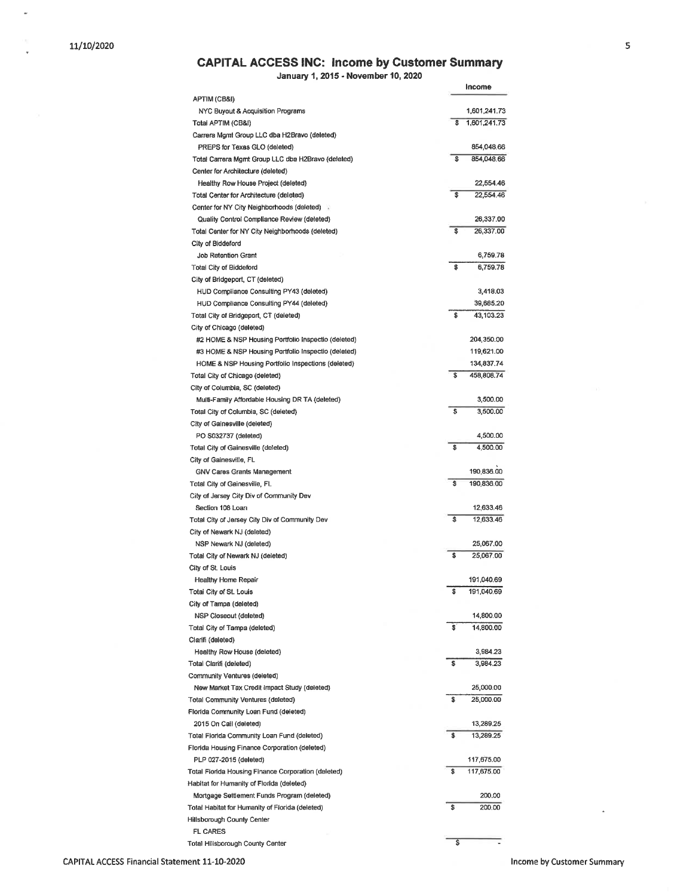$\overline{\phantom{a}}$ 

## **CAPITAL ACCESS INC: Income by Customer Summary**

January 1, 2015 - November 10, 2020

|                                                                               | Income             |
|-------------------------------------------------------------------------------|--------------------|
| APTIM (CB&I)<br>NYC Buyout & Acquisition Programs                             | 1,601,241.73       |
| Total APTIM (CB&I)                                                            | \$<br>1,601,241.73 |
| Carrera Mgmt Group LLC dba H2Bravo (deleted)                                  |                    |
| PREPS for Texas GLO (deleted)                                                 | 854,048.66         |
| Total Carrera Mgmt Group LLC dba H2Bravo (deleted)                            | \$<br>854,048.66   |
| Center for Architecture (deleted)                                             |                    |
| Healthy Row House Project (deleted)                                           | 22,554.46          |
| Total Center for Architecture (deleted)                                       | \$<br>22,554.46    |
| Center for NY City Neighborhoods (deleted)                                    |                    |
| Quality Control Compliance Review (deleted)                                   | 26,337.00          |
| Total Center for NY City Neighborhoods (deleted)                              | \$<br>26,337.00    |
| City of Biddeford                                                             |                    |
| <b>Job Retention Grant</b>                                                    | 6,759.78           |
| Total City of Biddeford                                                       | \$<br>6,759.78     |
| City of Bridgeport, CT (deleted)                                              |                    |
| HUD Compliance Consulting PY43 (deleted)                                      | 3,418.03           |
| HUD Compliance Consulting PY44 (deleted)                                      | 39,685.20          |
| Total City of Bridgeport, CT (deleted)                                        | \$<br>43,103.23    |
| City of Chicago (deleted)                                                     |                    |
| #2 HOME & NSP Housing Portfolio Inspectio (deleted)                           | 204,350.00         |
| #3 HOME & NSP Housing Portfolio Inspectio (deleted)                           | 119,621.00         |
| HOME & NSP Housing Portfolio Inspections (deleted)                            | 134,837.74         |
| Total City of Chicago (deleted)                                               | \$<br>458,808.74   |
| City of Columbia, SC (deleted)                                                |                    |
| Multi-Family Affordable Housing DR TA (deleted)                               | 3,500.00           |
| Total City of Columbia, SC (deleted)                                          | \$<br>3,500.00     |
| City of Gainesville (deleted)                                                 |                    |
| PO S032737 (deleted)                                                          | 4,500.00           |
| Total City of Gainesville (deleted)                                           | \$<br>4,500.00     |
| City of Gainesville, FL                                                       |                    |
| GNV Cares Grants Management                                                   | 190,836.00         |
| Total City of Gainesville, FL                                                 | \$<br>190,836.00   |
| City of Jersey City Div of Community Dev                                      |                    |
| Section 108 Loan                                                              | 12,633.46<br>\$    |
| Total City of Jersey City Div of Community Dev<br>City of Newark NJ (deleted) | 12,633.46          |
| NSP Newark NJ (deleted)                                                       | 25,067.00          |
| Total City of Newark NJ (deleted)                                             | \$<br>25,067.00    |
| City of St. Louis                                                             |                    |
| Healthy Home Repair                                                           | 191,040.69         |
| Total City of St. Louis                                                       | \$<br>191,040.69   |
| City of Tampa (deleted)                                                       |                    |
| NSP Closeout (deleted)                                                        | 14,800.00          |
| Total City of Tampa (deleted)                                                 | \$<br>14,800.00    |
| Clarifi (deleted)                                                             |                    |
| Healthy Row House (deleted)                                                   | 3,984.23           |
| Total Clarifi (deleted)                                                       | \$<br>3,984.23     |
| Community Ventures (deleted)                                                  |                    |
| New Market Tax Credit Impact Study (deleted)                                  | 25,000.00          |
| Total Community Ventures (deleted)                                            | \$<br>25,000.00    |
| Florida Community Loan Fund (deleted)                                         |                    |
| 2015 On Call (deleted)                                                        | 13,289.25          |
| Total Florida Community Loan Fund (deleted)                                   | \$<br>13,289.25    |
| Florida Housing Finance Corporation (deleted)                                 |                    |
| PLP 027-2015 (deleted)                                                        | 117,675.00         |
| Total Fiorida Housing Finance Corporation (deleted)                           | \$<br>117,675.00   |
| Habitat for Humanity of Florida (deleted)                                     |                    |
| Mortgage Settlement Funds Program (deleted)                                   | 200.00             |
| Total Habitat for Humanity of Florida (deleted)                               | \$<br>200.00       |
| Hillsborough County Center                                                    |                    |
| FL CARES                                                                      |                    |
| Total Hillsborough County Center                                              | \$                 |